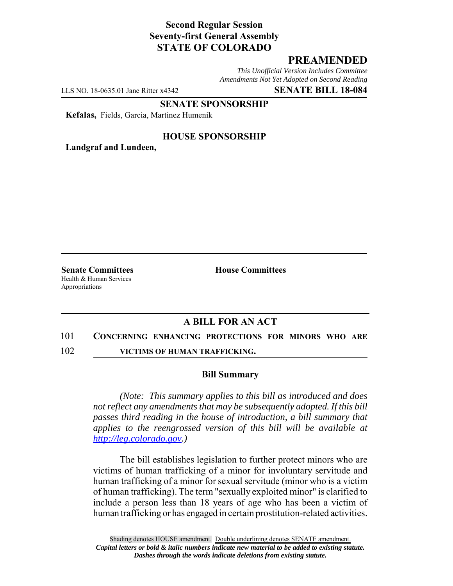# **Second Regular Session Seventy-first General Assembly STATE OF COLORADO**

## **PREAMENDED**

*This Unofficial Version Includes Committee Amendments Not Yet Adopted on Second Reading*

LLS NO. 18-0635.01 Jane Ritter x4342 **SENATE BILL 18-084**

**SENATE SPONSORSHIP**

**Kefalas,** Fields, Garcia, Martinez Humenik

### **HOUSE SPONSORSHIP**

**Landgraf and Lundeen,**

Health & Human Services Appropriations

**Senate Committees House Committees** 

## **A BILL FOR AN ACT**

#### 101 **CONCERNING ENHANCING PROTECTIONS FOR MINORS WHO ARE**

102 **VICTIMS OF HUMAN TRAFFICKING.**

#### **Bill Summary**

*(Note: This summary applies to this bill as introduced and does not reflect any amendments that may be subsequently adopted. If this bill passes third reading in the house of introduction, a bill summary that applies to the reengrossed version of this bill will be available at http://leg.colorado.gov.)*

The bill establishes legislation to further protect minors who are victims of human trafficking of a minor for involuntary servitude and human trafficking of a minor for sexual servitude (minor who is a victim of human trafficking). The term "sexually exploited minor" is clarified to include a person less than 18 years of age who has been a victim of human trafficking or has engaged in certain prostitution-related activities.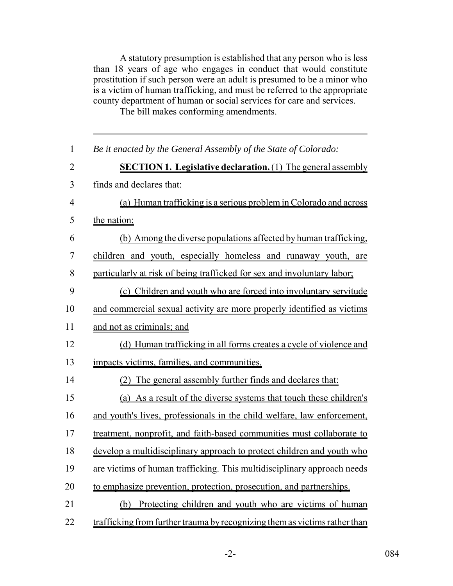A statutory presumption is established that any person who is less than 18 years of age who engages in conduct that would constitute prostitution if such person were an adult is presumed to be a minor who is a victim of human trafficking, and must be referred to the appropriate county department of human or social services for care and services.

The bill makes conforming amendments.

| $\mathbf{1}$   | Be it enacted by the General Assembly of the State of Colorado:            |
|----------------|----------------------------------------------------------------------------|
| $\overline{2}$ | <b>SECTION 1. Legislative declaration.</b> (1) The general assembly        |
| 3              | finds and declares that:                                                   |
| $\overline{4}$ | (a) Human trafficking is a serious problem in Colorado and across          |
| 5              | the nation;                                                                |
| 6              | (b) Among the diverse populations affected by human trafficking.           |
| 7              | children and youth, especially homeless and runaway youth, are             |
| 8              | particularly at risk of being trafficked for sex and involuntary labor;    |
| 9              | (c) Children and youth who are forced into involuntary servitude           |
| 10             | and commercial sexual activity are more properly identified as victims     |
| 11             | and not as criminals; and                                                  |
| 12             | (d) Human trafficking in all forms creates a cycle of violence and         |
| 13             | impacts victims, families, and communities.                                |
| 14             | (2) The general assembly further finds and declares that:                  |
| 15             | (a) As a result of the diverse systems that touch these children's         |
| 16             | and youth's lives, professionals in the child welfare, law enforcement,    |
| 17             | treatment, nonprofit, and faith-based communities must collaborate to      |
| 18             | develop a multidisciplinary approach to protect children and youth who     |
| 19             | are victims of human trafficking. This multidisciplinary approach needs    |
| 20             | to emphasize prevention, protection, prosecution, and partnerships.        |
| 21             | Protecting children and youth who are victims of human<br>(b)              |
| 22             | trafficking from further trauma by recognizing them as victims rather than |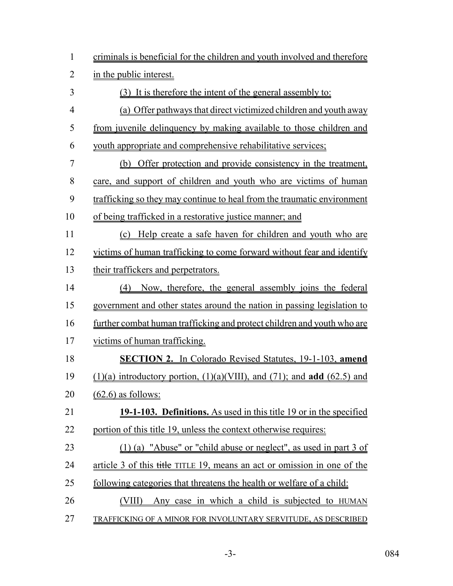|                                                 |  |  | criminals is beneficial for the children and youth involved and therefore |  |  |  |
|-------------------------------------------------|--|--|---------------------------------------------------------------------------|--|--|--|
| $\bullet$ , and the set of the set of $\bullet$ |  |  |                                                                           |  |  |  |

in the public interest.

 (3) It is therefore the intent of the general assembly to: (a) Offer pathways that direct victimized children and youth away from juvenile delinquency by making available to those children and youth appropriate and comprehensive rehabilitative services; (b) Offer protection and provide consistency in the treatment, care, and support of children and youth who are victims of human trafficking so they may continue to heal from the traumatic environment of being trafficked in a restorative justice manner; and (c) Help create a safe haven for children and youth who are victims of human trafficking to come forward without fear and identify their traffickers and perpetrators. (4) Now, therefore, the general assembly joins the federal government and other states around the nation in passing legislation to further combat human trafficking and protect children and youth who are victims of human trafficking. **SECTION 2.** In Colorado Revised Statutes, 19-1-103, **amend** (1)(a) introductory portion, (1)(a)(VIII), and (71); and **add** (62.5) and (62.6) as follows: **19-1-103. Definitions.** As used in this title 19 or in the specified portion of this title 19, unless the context otherwise requires: (1) (a) "Abuse" or "child abuse or neglect", as used in part 3 of 24 article 3 of this title TITLE 19, means an act or omission in one of the following categories that threatens the health or welfare of a child: (VIII) Any case in which a child is subjected to HUMAN TRAFFICKING OF A MINOR FOR INVOLUNTARY SERVITUDE, AS DESCRIBED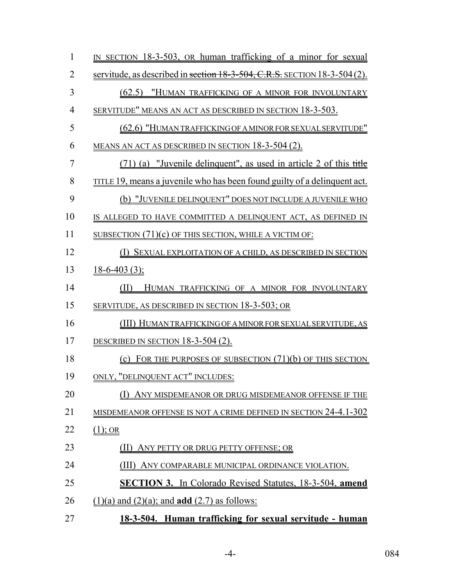| $\mathbf{1}$   | IN SECTION 18-3-503, OR human trafficking of a minor for sexual           |
|----------------|---------------------------------------------------------------------------|
| $\overline{2}$ | servitude, as described in section 18-3-504, C.R.S. SECTION 18-3-504 (2). |
| 3              | (62.5) "HUMAN TRAFFICKING OF A MINOR FOR INVOLUNTARY                      |
| $\overline{4}$ | SERVITUDE" MEANS AN ACT AS DESCRIBED IN SECTION 18-3-503.                 |
| 5              | (62.6) "HUMAN TRAFFICKING OF A MINOR FOR SEXUAL SERVITUDE"                |
| 6              | MEANS AN ACT AS DESCRIBED IN SECTION 18-3-504 (2).                        |
| $\overline{7}$ | (71) (a) "Juvenile delinquent", as used in article 2 of this title        |
| 8              | TITLE 19, means a juvenile who has been found guilty of a delinquent act. |
| 9              | (b) "JUVENILE DELINQUENT" DOES NOT INCLUDE A JUVENILE WHO                 |
| 10             | IS ALLEGED TO HAVE COMMITTED A DELINQUENT ACT, AS DEFINED IN              |
| 11             | SUBSECTION $(71)(c)$ OF THIS SECTION, WHILE A VICTIM OF:                  |
| 12             | (I) SEXUAL EXPLOITATION OF A CHILD, AS DESCRIBED IN SECTION               |
| 13             | $18 - 6 - 403(3)$ ;                                                       |
| 14             | (II)<br>HUMAN TRAFFICKING OF A MINOR FOR INVOLUNTARY                      |
| 15             | SERVITUDE, AS DESCRIBED IN SECTION 18-3-503; OR                           |
| 16             | (III) HUMAN TRAFFICKING OF A MINOR FOR SEXUAL SERVITUDE, AS               |
| 17             | DESCRIBED IN SECTION 18-3-504 (2).                                        |
| 18             | (c) FOR THE PURPOSES OF SUBSECTION $(71)(b)$ OF THIS SECTION              |
| 19             | ONLY, "DELINQUENT ACT" INCLUDES:                                          |
| 20             | ANY MISDEMEANOR OR DRUG MISDEMEANOR OFFENSE IF THE                        |
| 21             | MISDEMEANOR OFFENSE IS NOT A CRIME DEFINED IN SECTION 24-4.1-302          |
| 22             | $(1)$ ; OR                                                                |
| 23             | II) ANY PETTY OR DRUG PETTY OFFENSE; OR                                   |
| 24             | ANY COMPARABLE MUNICIPAL ORDINANCE VIOLATION.                             |
| 25             | <b>SECTION 3.</b> In Colorado Revised Statutes, 18-3-504, amend           |
| 26             | $(1)(a)$ and $(2)(a)$ ; and <b>add</b> $(2.7)$ as follows:                |
| 27             | 18-3-504. Human trafficking for sexual servitude - human                  |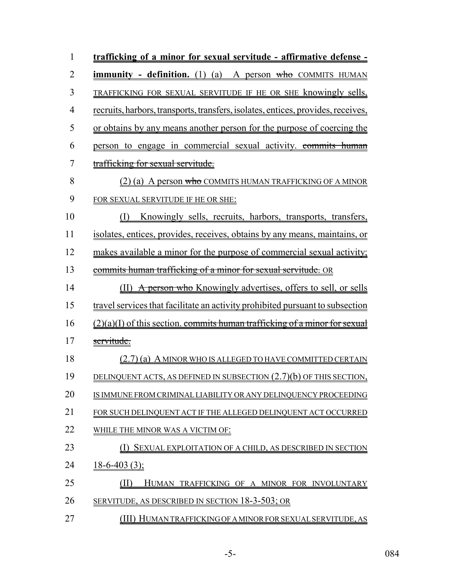| 1              | trafficking of a minor for sexual servitude - affirmative defense -              |
|----------------|----------------------------------------------------------------------------------|
| $\overline{2}$ | <b>immunity</b> - definition. (1) (a) A person $w$ ho COMMITS HUMAN              |
| 3              | TRAFFICKING FOR SEXUAL SERVITUDE IF HE OR SHE knowingly sells,                   |
| 4              | recruits, harbors, transports, transfers, isolates, entices, provides, receives, |
| 5              | or obtains by any means another person for the purpose of coercing the           |
| 6              | person to engage in commercial sexual activity. commits human                    |
| $\overline{7}$ | trafficking for sexual servitude.                                                |
| 8              | $(2)$ (a) A person who COMMITS HUMAN TRAFFICKING OF A MINOR                      |
| 9              | FOR SEXUAL SERVITUDE IF HE OR SHE:                                               |
| 10             | Knowingly sells, recruits, harbors, transports, transfers,<br>(I)                |
| 11             | isolates, entices, provides, receives, obtains by any means, maintains, or       |
| 12             | makes available a minor for the purpose of commercial sexual activity;           |
| 13             | commits human trafficking of a minor for sexual servitude. OR                    |
| 14             | A person who Knowingly advertises, offers to sell, or sells<br>(II)              |
| 15             | travel services that facilitate an activity prohibited pursuant to subsection    |
| 16             | $(2)(a)(I)$ of this section. commits human trafficking of a minor for sexual     |
| 17             | servitude.                                                                       |
| 18             | (2.7) (a) A MINOR WHO IS ALLEGED TO HAVE COMMITTED CERTAIN                       |
| 19             | DELINQUENT ACTS, AS DEFINED IN SUBSECTION $(2.7)(b)$ OF THIS SECTION,            |
| 20             | IS IMMUNE FROM CRIMINAL LIABILITY OR ANY DELINQUENCY PROCEEDING                  |
| 21             | FOR SUCH DELINQUENT ACT IF THE ALLEGED DELINQUENT ACT OCCURRED                   |
| 22             | WHILE THE MINOR WAS A VICTIM OF:                                                 |
| 23             | SEXUAL EXPLOITATION OF A CHILD, AS DESCRIBED IN SECTION                          |
| 24             | $18-6-403(3)$ ;                                                                  |
| 25             | (II)<br>HUMAN TRAFFICKING OF A MINOR FOR INVOLUNTARY                             |
| 26             | SERVITUDE, AS DESCRIBED IN SECTION 18-3-503; OR                                  |
| 27             | (III) HUMAN TRAFFICKING OF A MINOR FOR SEXUAL SERVITUDE, AS                      |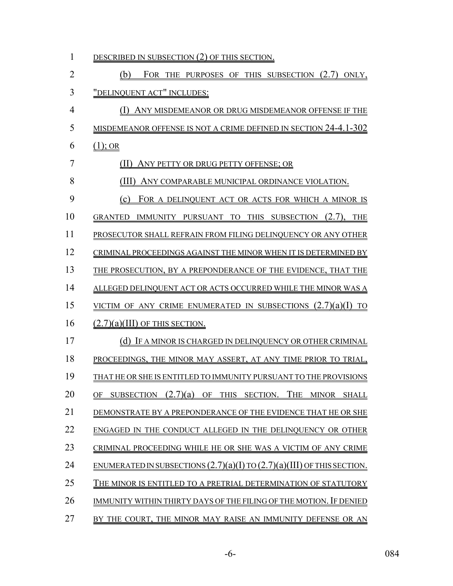| 1  | DESCRIBED IN SUBSECTION (2) OF THIS SECTION.                                                      |
|----|---------------------------------------------------------------------------------------------------|
| 2  | (b)<br>FOR THE PURPOSES OF THIS SUBSECTION (2.7) ONLY,                                            |
| 3  | "DELINQUENT ACT" INCLUDES:                                                                        |
| 4  | ANY MISDEMEANOR OR DRUG MISDEMEANOR OFFENSE IF THE<br>(1)                                         |
| 5  | MISDEMEANOR OFFENSE IS NOT A CRIME DEFINED IN SECTION 24-4.1-302                                  |
| 6  | $(1)$ ; OR                                                                                        |
| 7  | ANY PETTY OR DRUG PETTY OFFENSE; OR                                                               |
| 8  | ANY COMPARABLE MUNICIPAL ORDINANCE VIOLATION.                                                     |
| 9  | (c)<br>FOR A DELINQUENT ACT OR ACTS FOR WHICH A MINOR IS                                          |
| 10 | IMMUNITY PURSUANT TO THIS SUBSECTION<br><b>GRANTED</b><br>$(2.7)$ .<br><b>THE</b>                 |
| 11 | PROSECUTOR SHALL REFRAIN FROM FILING DELINOUENCY OR ANY OTHER                                     |
| 12 | CRIMINAL PROCEEDINGS AGAINST THE MINOR WHEN IT IS DETERMINED BY                                   |
| 13 | THE PROSECUTION, BY A PREPONDERANCE OF THE EVIDENCE, THAT THE                                     |
| 14 | ALLEGED DELINQUENT ACT OR ACTS OCCURRED WHILE THE MINOR WAS A                                     |
| 15 | VICTIM OF ANY CRIME ENUMERATED IN SUBSECTIONS $(2.7)(a)(I)$<br>TO                                 |
| 16 | $(2.7)(a)(III)$ OF THIS SECTION.                                                                  |
| 17 | (d) IF A MINOR IS CHARGED IN DELINQUENCY OR OTHER CRIMINAL                                        |
| 18 | PROCEEDINGS, THE MINOR MAY ASSERT, AT ANY TIME PRIOR TO TRIAL,                                    |
| 19 | THAT HE OR SHE IS ENTITLED TO IMMUNITY PURSUANT TO THE PROVISIONS                                 |
| 20 | (2.7)(a)<br>THE<br><b>SUBSECTION</b><br>OF<br>THIS SECTION.<br><b>MINOR</b><br>ОF<br><b>SHALL</b> |
| 21 | DEMONSTRATE BY A PREPONDERANCE OF THE EVIDENCE THAT HE OR SHE                                     |
| 22 | ENGAGED IN THE CONDUCT ALLEGED IN THE DELINOUENCY OR OTHER                                        |
| 23 | CRIMINAL PROCEEDING WHILE HE OR SHE WAS A VICTIM OF ANY CRIME                                     |
| 24 | ENUMERATED IN SUBSECTIONS $(2.7)(a)(I)$ TO $(2.7)(a)(III)$ OF THIS SECTION.                       |
| 25 | THE MINOR IS ENTITLED TO A PRETRIAL DETERMINATION OF STATUTORY                                    |
| 26 | IMMUNITY WITHIN THIRTY DAYS OF THE FILING OF THE MOTION. IF DENIED                                |
| 27 | BY THE COURT, THE MINOR MAY RAISE AN IMMUNITY DEFENSE OR AN                                       |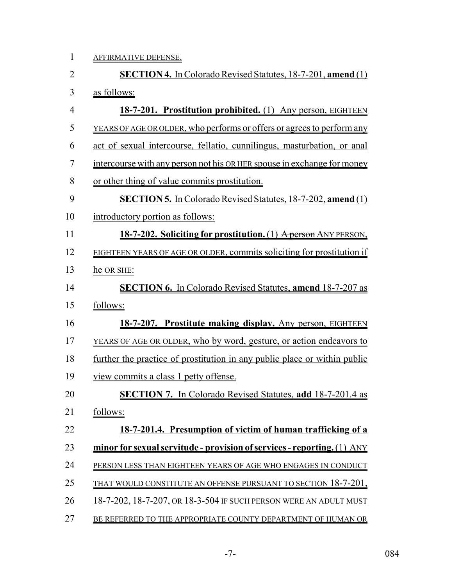1 AFFIRMATIVE DEFENSE.

| $\overline{2}$ | <b>SECTION 4.</b> In Colorado Revised Statutes, 18-7-201, amend (1)        |
|----------------|----------------------------------------------------------------------------|
| 3              | as follows:                                                                |
| 4              | 18-7-201. Prostitution prohibited. (1) Any person, EIGHTEEN                |
| 5              | YEARS OF AGE OR OLDER, who performs or offers or agrees to perform any     |
| 6              | act of sexual intercourse, fellatio, cunnilingus, masturbation, or anal    |
| 7              | intercourse with any person not his OR HER spouse in exchange for money    |
| 8              | or other thing of value commits prostitution.                              |
| 9              | <b>SECTION 5.</b> In Colorado Revised Statutes, 18-7-202, amend (1)        |
| 10             | introductory portion as follows:                                           |
| 11             | 18-7-202. Soliciting for prostitution. (1) A person ANY PERSON,            |
| 12             | EIGHTEEN YEARS OF AGE OR OLDER, commits soliciting for prostitution if     |
| 13             | he OR SHE:                                                                 |
| 14             | <b>SECTION 6.</b> In Colorado Revised Statutes, amend 18-7-207 as          |
| 15             | follows:                                                                   |
| 16             | 18-7-207. Prostitute making display. Any person, EIGHTEEN                  |
| 17             | <u>YEARS OF AGE OR OLDER, who by word, gesture, or action endeavors to</u> |
| 18             | further the practice of prostitution in any public place or within public  |
| 19             | view commits a class 1 petty offense.                                      |
| 20             | <b>SECTION 7.</b> In Colorado Revised Statutes, add 18-7-201.4 as          |
| 21             | follows:                                                                   |
| 22             | <u>18-7-201.4. Presumption of victim of human trafficking of a</u>         |
| 23             | minor for sexual servitude - provision of services - reporting. (1) ANY    |
| 24             | PERSON LESS THAN EIGHTEEN YEARS OF AGE WHO ENGAGES IN CONDUCT              |
| 25             | <u>THAT WOULD CONSTITUTE AN OFFENSE PURSUANT TO SECTION 18-7-201,</u>      |
| 26             | 18-7-202, 18-7-207, OR 18-3-504 IF SUCH PERSON WERE AN ADULT MUST          |
| 27             | BE REFERRED TO THE APPROPRIATE COUNTY DEPARTMENT OF HUMAN OR               |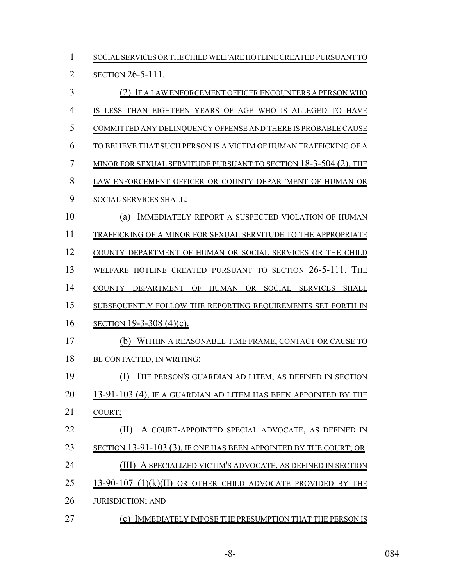| 1              | SOCIAL SERVICES OR THE CHILD WELFARE HOTLINE CREATED PURSUANT TO   |
|----------------|--------------------------------------------------------------------|
| $\overline{2}$ | <u>SECTION 26-5-111.</u>                                           |
| 3              | (2) IF A LAW ENFORCEMENT OFFICER ENCOUNTERS A PERSON WHO           |
| 4              | IS LESS THAN EIGHTEEN YEARS OF AGE WHO IS ALLEGED TO HAVE          |
| 5              | COMMITTED ANY DELINQUENCY OFFENSE AND THERE IS PROBABLE CAUSE      |
| 6              | TO BELIEVE THAT SUCH PERSON IS A VICTIM OF HUMAN TRAFFICKING OF A  |
| 7              | MINOR FOR SEXUAL SERVITUDE PURSUANT TO SECTION $18-3-504$ (2), THE |
| 8              | LAW ENFORCEMENT OFFICER OR COUNTY DEPARTMENT OF HUMAN OR           |
| 9              | <b>SOCIAL SERVICES SHALL:</b>                                      |
| 10             | IMMEDIATELY REPORT A SUSPECTED VIOLATION OF HUMAN<br>(a)           |
| 11             | TRAFFICKING OF A MINOR FOR SEXUAL SERVITUDE TO THE APPROPRIATE     |
| 12             | COUNTY DEPARTMENT OF HUMAN OR SOCIAL SERVICES OR THE CHILD         |
| 13             | WELFARE HOTLINE CREATED PURSUANT TO SECTION 26-5-111. THE          |
| 14             | COUNTY DEPARTMENT OF HUMAN OR SOCIAL SERVICES SHALL                |
| 15             | SUBSEQUENTLY FOLLOW THE REPORTING REQUIREMENTS SET FORTH IN        |
| 16             | SECTION 19-3-308 (4)(c).                                           |
| 17             | (b) WITHIN A REASONABLE TIME FRAME, CONTACT OR CAUSE TO            |
| 18             | BE CONTACTED, IN WRITING:                                          |
| 19             | (I)<br>THE PERSON'S GUARDIAN AD LITEM, AS DEFINED IN SECTION       |
| 20             | 13-91-103 (4). IF A GUARDIAN AD LITEM HAS BEEN APPOINTED BY THE    |
| 21             | COURT;                                                             |
| 22             | (II)<br>A COURT-APPOINTED SPECIAL ADVOCATE, AS DEFINED IN          |
| 23             | SECTION 13-91-103 (3), IF ONE HAS BEEN APPOINTED BY THE COURT; OR  |
| 24             | A SPECIALIZED VICTIM'S ADVOCATE, AS DEFINED IN SECTION             |
| 25             | 13-90-107 (1)(k)(II) OR OTHER CHILD ADVOCATE PROVIDED BY THE       |
| 26             | <b>JURISDICTION; AND</b>                                           |
| 27             | IMMEDIATELY IMPOSE THE PRESUMPTION THAT THE PERSON IS<br>(c)       |